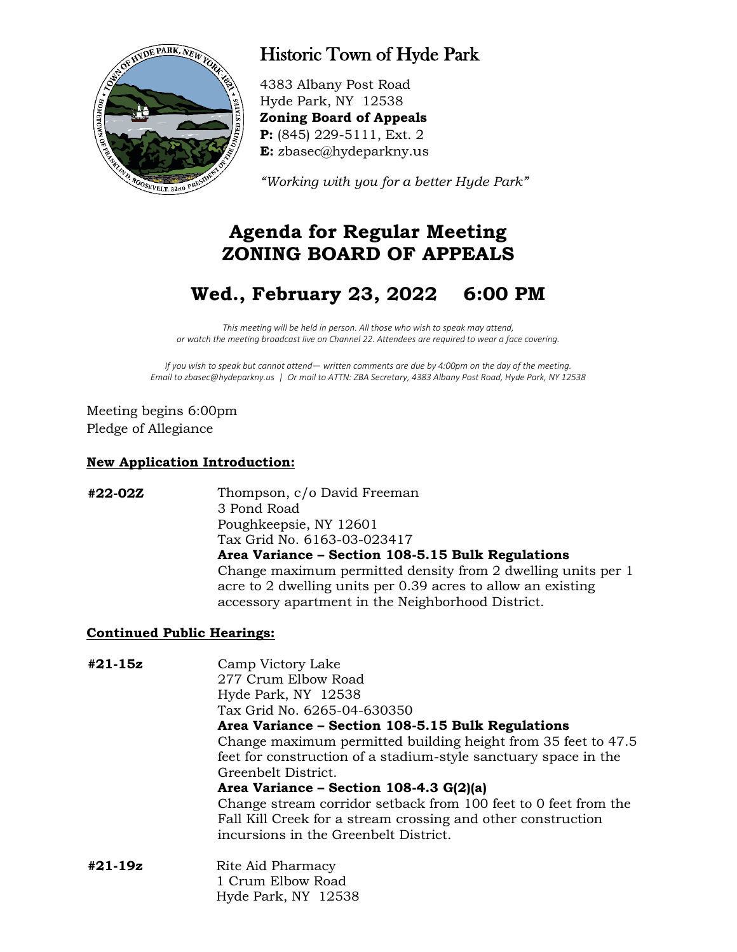

## Historic Town of Hyde Park

4383 Albany Post Road Hyde Park, NY 12538 **Zoning Board of Appeals P:** (845) 229-5111, Ext. 2 **E:** zbasec@hydeparkny.us

*"Working with you for a better Hyde Park"* 

## **Agenda for Regular Meeting ZONING BOARD OF APPEALS**

# **Wed., February 23, 2022 6:00 PM**

*This meeting will be held in person. All those who wish to speak may attend, or watch the meeting broadcast live on Channel 22. Attendees are required to wear a face covering.*

*If you wish to speak but cannot attend— written comments are due by 4:00pm on the day of the meeting. Email to zbasec@hydeparkny.us | Or mail to ATTN: ZBA Secretary, 4383 Albany Post Road, Hyde Park, NY 12538*

Meeting begins 6:00pm Pledge of Allegiance

#### **New Application Introduction:**

**#22-02Z** Thompson, c/o David Freeman 3 Pond Road Poughkeepsie, NY 12601 Tax Grid No. 6163-03-023417 **Area Variance – Section 108-5.15 Bulk Regulations** Change maximum permitted density from 2 dwelling units per 1 acre to 2 dwelling units per 0.39 acres to allow an existing accessory apartment in the Neighborhood District.

#### **Continued Public Hearings:**

**#21-15z** Camp Victory Lake 277 Crum Elbow Road Hyde Park, NY 12538 Tax Grid No. 6265-04-630350 **Area Variance – Section 108-5.15 Bulk Regulations** Change maximum permitted building height from 35 feet to 47.5 feet for construction of a stadium-style sanctuary space in the Greenbelt District. **Area Variance – Section 108-4.3 G(2)(a)** Change stream corridor setback from 100 feet to 0 feet from the Fall Kill Creek for a stream crossing and other construction incursions in the Greenbelt District. **#21-19z** Rite Aid Pharmacy 1 Crum Elbow Road Hyde Park, NY 12538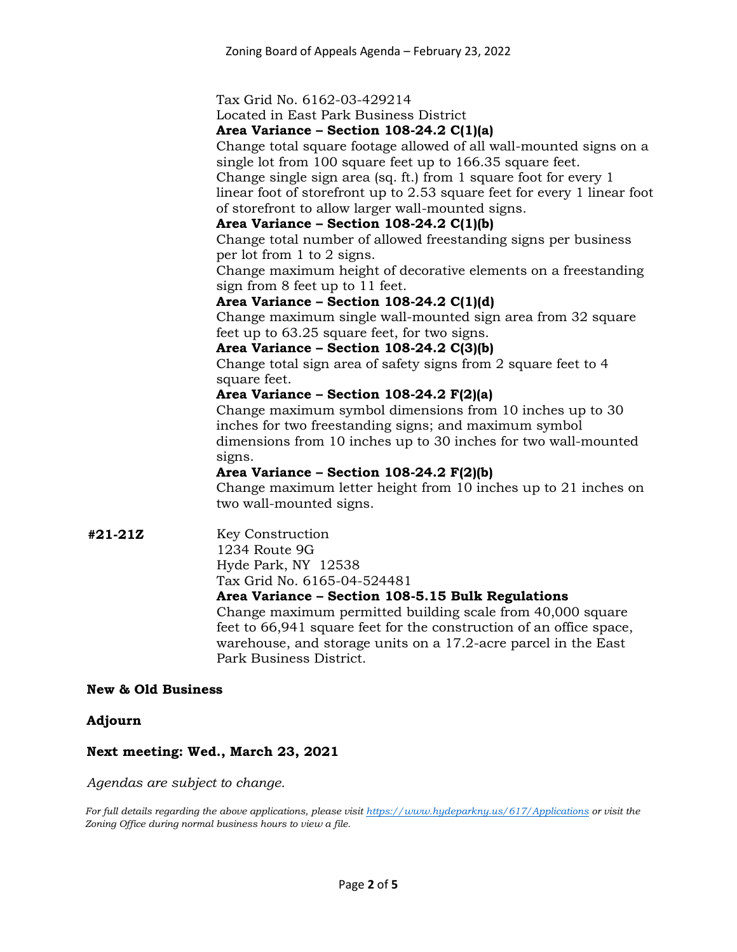#### Tax Grid No. 6162-03-429214

Located in East Park Business District

#### **Area Variance – Section 108-24.2 C(1)(a)**

Change total square footage allowed of all wall-mounted signs on a single lot from 100 square feet up to 166.35 square feet.

Change single sign area (sq. ft.) from 1 square foot for every 1 linear foot of storefront up to 2.53 square feet for every 1 linear foot of storefront to allow larger wall-mounted signs.

#### **Area Variance – Section 108-24.2 C(1)(b)**

Change total number of allowed freestanding signs per business per lot from 1 to 2 signs.

Change maximum height of decorative elements on a freestanding sign from 8 feet up to 11 feet.

#### **Area Variance – Section 108-24.2 C(1)(d)**

Change maximum single wall-mounted sign area from 32 square feet up to 63.25 square feet, for two signs.

#### **Area Variance – Section 108-24.2 C(3)(b)**

Change total sign area of safety signs from 2 square feet to 4 square feet.

#### **Area Variance – Section 108-24.2 F(2)(a)**

Change maximum symbol dimensions from 10 inches up to 30 inches for two freestanding signs; and maximum symbol dimensions from 10 inches up to 30 inches for two wall-mounted signs.

#### **Area Variance – Section 108-24.2 F(2)(b)**

Change maximum letter height from 10 inches up to 21 inches on two wall-mounted signs.

**#21-21Z** Key Construction 1234 Route 9G Hyde Park, NY 12538 Tax Grid No. 6165-04-524481

#### **Area Variance – Section 108-5.15 Bulk Regulations**

Change maximum permitted building scale from 40,000 square feet to 66,941 square feet for the construction of an office space, warehouse, and storage units on a 17.2-acre parcel in the East Park Business District.

#### **New & Old Business**

#### **Adjourn**

#### **Next meeting: Wed., March 23, 2021**

*Agendas are subject to change.*

*For full details regarding the above applications, please visit<https://www.hydeparkny.us/617/Applications> or visit the Zoning Office during normal business hours to view a file.*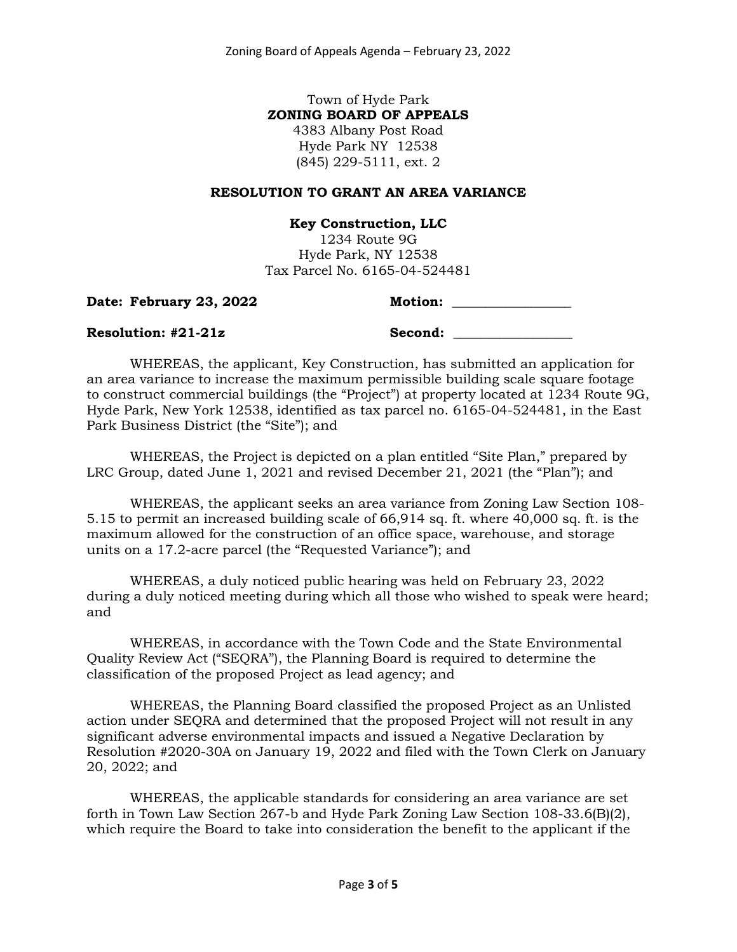### Town of Hyde Park **ZONING BOARD OF APPEALS**

4383 Albany Post Road Hyde Park NY 12538 (845) 229-5111, ext. 2

#### **RESOLUTION TO GRANT AN AREA VARIANCE**

**Key Construction, LLC**

1234 Route 9G Hyde Park, NY 12538 Tax Parcel No. 6165-04-524481

**Date: February 23, 2022 Motion: \_\_\_\_\_\_\_\_\_\_\_\_\_\_\_\_\_\_**

#### **Resolution: #21-21z Second: \_\_\_\_\_\_\_\_\_\_\_\_\_\_\_\_\_\_**

WHEREAS, the applicant, Key Construction, has submitted an application for an area variance to increase the maximum permissible building scale square footage to construct commercial buildings (the "Project") at property located at 1234 Route 9G, Hyde Park, New York 12538, identified as tax parcel no. 6165-04-524481, in the East Park Business District (the "Site"); and

WHEREAS, the Project is depicted on a plan entitled "Site Plan," prepared by LRC Group, dated June 1, 2021 and revised December 21, 2021 (the "Plan"); and

WHEREAS, the applicant seeks an area variance from Zoning Law Section 108- 5.15 to permit an increased building scale of 66,914 sq. ft. where 40,000 sq. ft. is the maximum allowed for the construction of an office space, warehouse, and storage units on a 17.2-acre parcel (the "Requested Variance"); and

WHEREAS, a duly noticed public hearing was held on February 23, 2022 during a duly noticed meeting during which all those who wished to speak were heard; and

WHEREAS, in accordance with the Town Code and the State Environmental Quality Review Act ("SEQRA"), the Planning Board is required to determine the classification of the proposed Project as lead agency; and

WHEREAS, the Planning Board classified the proposed Project as an Unlisted action under SEQRA and determined that the proposed Project will not result in any significant adverse environmental impacts and issued a Negative Declaration by Resolution #2020-30A on January 19, 2022 and filed with the Town Clerk on January 20, 2022; and

WHEREAS, the applicable standards for considering an area variance are set forth in Town Law Section 267-b and Hyde Park Zoning Law Section 108-33.6(B)(2), which require the Board to take into consideration the benefit to the applicant if the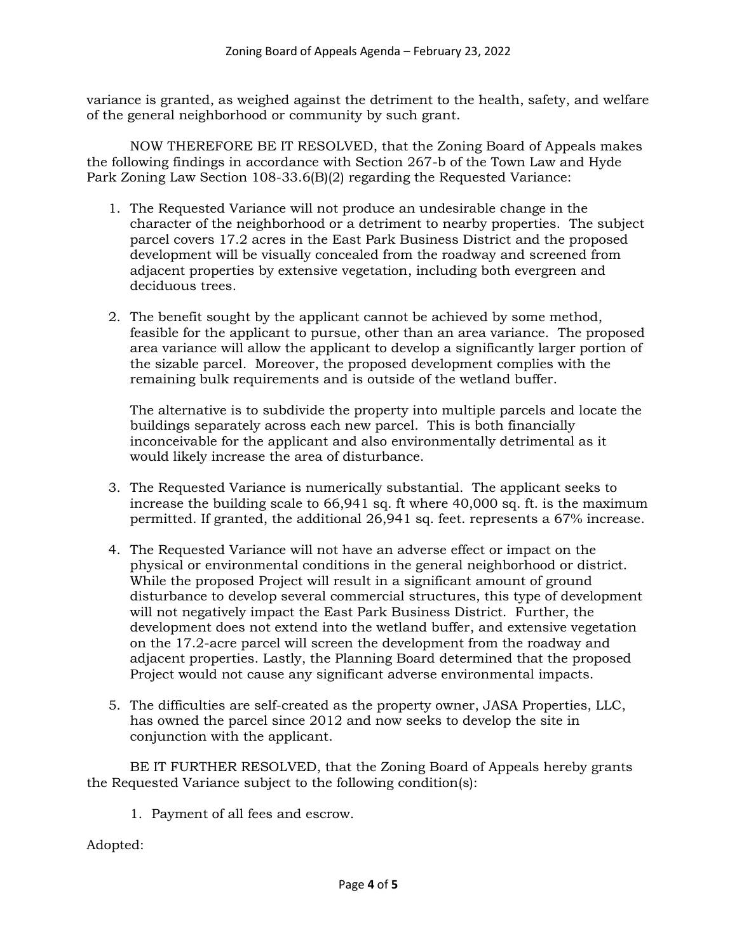variance is granted, as weighed against the detriment to the health, safety, and welfare of the general neighborhood or community by such grant.

NOW THEREFORE BE IT RESOLVED, that the Zoning Board of Appeals makes the following findings in accordance with Section 267-b of the Town Law and Hyde Park Zoning Law Section 108-33.6(B)(2) regarding the Requested Variance:

- 1. The Requested Variance will not produce an undesirable change in the character of the neighborhood or a detriment to nearby properties. The subject parcel covers 17.2 acres in the East Park Business District and the proposed development will be visually concealed from the roadway and screened from adjacent properties by extensive vegetation, including both evergreen and deciduous trees.
- 2. The benefit sought by the applicant cannot be achieved by some method, feasible for the applicant to pursue, other than an area variance. The proposed area variance will allow the applicant to develop a significantly larger portion of the sizable parcel. Moreover, the proposed development complies with the remaining bulk requirements and is outside of the wetland buffer.

The alternative is to subdivide the property into multiple parcels and locate the buildings separately across each new parcel. This is both financially inconceivable for the applicant and also environmentally detrimental as it would likely increase the area of disturbance.

- 3. The Requested Variance is numerically substantial. The applicant seeks to increase the building scale to 66,941 sq. ft where 40,000 sq. ft. is the maximum permitted. If granted, the additional 26,941 sq. feet. represents a 67% increase.
- 4. The Requested Variance will not have an adverse effect or impact on the physical or environmental conditions in the general neighborhood or district. While the proposed Project will result in a significant amount of ground disturbance to develop several commercial structures, this type of development will not negatively impact the East Park Business District. Further, the development does not extend into the wetland buffer, and extensive vegetation on the 17.2-acre parcel will screen the development from the roadway and adjacent properties. Lastly, the Planning Board determined that the proposed Project would not cause any significant adverse environmental impacts.
- 5. The difficulties are self-created as the property owner, JASA Properties, LLC, has owned the parcel since 2012 and now seeks to develop the site in conjunction with the applicant.

BE IT FURTHER RESOLVED, that the Zoning Board of Appeals hereby grants the Requested Variance subject to the following condition(s):

1. Payment of all fees and escrow.

Adopted: